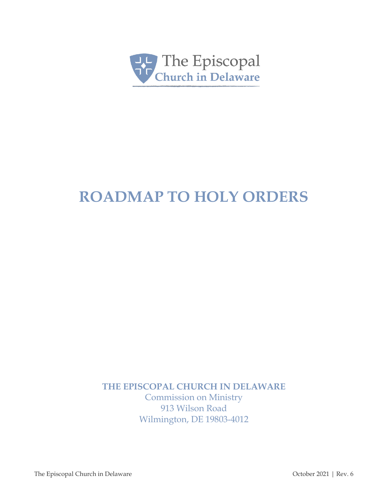

# **ROADMAP TO HOLY ORDERS**

**THE EPISCOPAL CHURCH IN DELAWARE**

Commission on Ministry 913 Wilson Road Wilmington, DE 19803-4012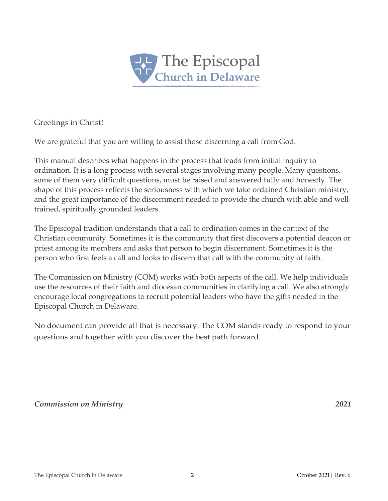

Greetings in Christ!

We are grateful that you are willing to assist those discerning a call from God.

This manual describes what happens in the process that leads from initial inquiry to ordination. It is a long process with several stages involving many people. Many questions, some of them very difficult questions, must be raised and answered fully and honestly. The shape of this process reflects the seriousness with which we take ordained Christian ministry, and the great importance of the discernment needed to provide the church with able and welltrained, spiritually grounded leaders.

The Episcopal tradition understands that a call to ordination comes in the context of the Christian community. Sometimes it is the community that first discovers a potential deacon or priest among its members and asks that person to begin discernment. Sometimes it is the person who first feels a call and looks to discern that call with the community of faith.

The Commission on Ministry (COM) works with both aspects of the call. We help individuals use the resources of their faith and diocesan communities in clarifying a call. We also strongly encourage local congregations to recruit potential leaders who have the gifts needed in the Episcopal Church in Delaware.

No document can provide all that is necessary. The COM stands ready to respond to your questions and together with you discover the best path forward.

*Commission on Ministry 2021*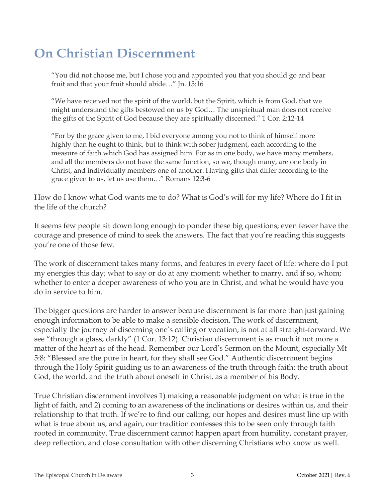# **On Christian Discernment**

"You did not choose me, but I chose you and appointed you that you should go and bear fruit and that your fruit should abide…" Jn. 15:16

"We have received not the spirit of the world, but the Spirit, which is from God, that we might understand the gifts bestowed on us by God… The unspiritual man does not receive the gifts of the Spirit of God because they are spiritually discerned." 1 Cor. 2:12-14

"For by the grace given to me, I bid everyone among you not to think of himself more highly than he ought to think, but to think with sober judgment, each according to the measure of faith which God has assigned him. For as in one body, we have many members, and all the members do not have the same function, so we, though many, are one body in Christ, and individually members one of another. Having gifts that differ according to the grace given to us, let us use them…" Romans 12:3-6

How do I know what God wants me to do? What is God's will for my life? Where do I fit in the life of the church?

It seems few people sit down long enough to ponder these big questions; even fewer have the courage and presence of mind to seek the answers. The fact that you're reading this suggests you're one of those few.

The work of discernment takes many forms, and features in every facet of life: where do I put my energies this day; what to say or do at any moment; whether to marry, and if so, whom; whether to enter a deeper awareness of who you are in Christ, and what he would have you do in service to him.

The bigger questions are harder to answer because discernment is far more than just gaining enough information to be able to make a sensible decision. The work of discernment, especially the journey of discerning one's calling or vocation, is not at all straight-forward. We see "through a glass, darkly" (1 Cor. 13:12). Christian discernment is as much if not more a matter of the heart as of the head. Remember our Lord's Sermon on the Mount, especially Mt 5:8: "Blessed are the pure in heart, for they shall see God." Authentic discernment begins through the Holy Spirit guiding us to an awareness of the truth through faith: the truth about God, the world, and the truth about oneself in Christ, as a member of his Body.

True Christian discernment involves 1) making a reasonable judgment on what is true in the light of faith, and 2) coming to an awareness of the inclinations or desires within us, and their relationship to that truth. If we're to find our calling, our hopes and desires must line up with what is true about us, and again, our tradition confesses this to be seen only through faith rooted in community. True discernment cannot happen apart from humility, constant prayer, deep reflection, and close consultation with other discerning Christians who know us well.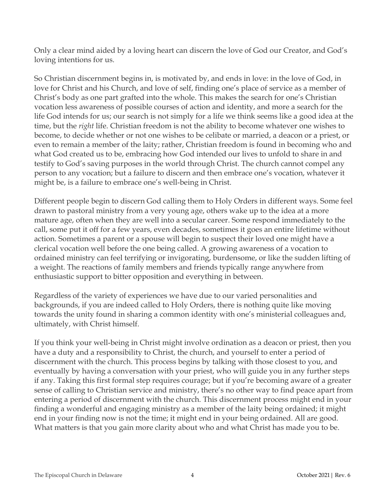Only a clear mind aided by a loving heart can discern the love of God our Creator, and God's loving intentions for us.

So Christian discernment begins in, is motivated by, and ends in love: in the love of God, in love for Christ and his Church, and love of self, finding one's place of service as a member of Christ's body as one part grafted into the whole. This makes the search for one's Christian vocation less awareness of possible courses of action and identity, and more a search for the life God intends for us; our search is not simply for a life we think seems like a good idea at the time, but the *right* life. Christian freedom is not the ability to become whatever one wishes to become, to decide whether or not one wishes to be celibate or married, a deacon or a priest, or even to remain a member of the laity; rather, Christian freedom is found in becoming who and what God created us to be, embracing how God intended our lives to unfold to share in and testify to God's saving purposes in the world through Christ. The church cannot compel any person to any vocation; but a failure to discern and then embrace one's vocation, whatever it might be, is a failure to embrace one's well-being in Christ.

Different people begin to discern God calling them to Holy Orders in different ways. Some feel drawn to pastoral ministry from a very young age, others wake up to the idea at a more mature age, often when they are well into a secular career. Some respond immediately to the call, some put it off for a few years, even decades, sometimes it goes an entire lifetime without action. Sometimes a parent or a spouse will begin to suspect their loved one might have a clerical vocation well before the one being called. A growing awareness of a vocation to ordained ministry can feel terrifying or invigorating, burdensome, or like the sudden lifting of a weight. The reactions of family members and friends typically range anywhere from enthusiastic support to bitter opposition and everything in between.

Regardless of the variety of experiences we have due to our varied personalities and backgrounds, if you are indeed called to Holy Orders, there is nothing quite like moving towards the unity found in sharing a common identity with one's ministerial colleagues and, ultimately, with Christ himself.

If you think your well-being in Christ might involve ordination as a deacon or priest, then you have a duty and a responsibility to Christ, the church, and yourself to enter a period of discernment with the church. This process begins by talking with those closest to you, and eventually by having a conversation with your priest, who will guide you in any further steps if any. Taking this first formal step requires courage; but if you're becoming aware of a greater sense of calling to Christian service and ministry, there's no other way to find peace apart from entering a period of discernment with the church. This discernment process might end in your finding a wonderful and engaging ministry as a member of the laity being ordained; it might end in your finding now is not the time; it might end in your being ordained. All are good. What matters is that you gain more clarity about who and what Christ has made you to be.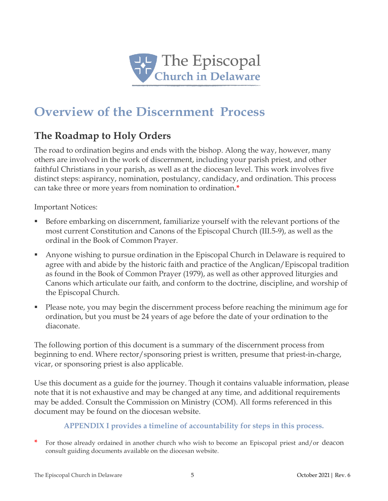

# **Overview of the Discernment Process**

# **The Roadmap to Holy Orders**

The road to ordination begins and ends with the bishop. Along the way, however, many others are involved in the work of discernment, including your parish priest, and other faithful Christians in your parish, as well as at the diocesan level. This work involves five distinct steps: aspirancy, nomination, postulancy, candidacy, and ordination. This process can take three or more years from nomination to ordination.**\***

Important Notices:

- Before embarking on discernment, familiarize yourself with the relevant portions of the most current Constitution and Canons of the Episcopal Church (III.5-9), as well as the ordinal in the Book of Common Prayer.
- Anyone wishing to pursue ordination in the Episcopal Church in Delaware is required to agree with and abide by the historic faith and practice of the Anglican/Episcopal tradition as found in the Book of Common Prayer (1979), as well as other approved liturgies and Canons which articulate our faith, and conform to the doctrine, discipline, and worship of the Episcopal Church.
- Please note, you may begin the discernment process before reaching the minimum age for ordination, but you must be 24 years of age before the date of your ordination to the diaconate.

The following portion of this document is a summary of the discernment process from beginning to end. Where rector/sponsoring priest is written, presume that priest-in-charge, vicar, or sponsoring priest is also applicable.

Use this document as a guide for the journey. Though it contains valuable information, please note that it is not exhaustive and may be changed at any time, and additional requirements may be added. Consult the Commission on Ministry (COM). All forms referenced in this document may be found on the diocesan website.

#### **APPENDIX I provides a timeline of accountability for steps in this process.**

**\*** For those already ordained in another church who wish to become an Episcopal priest and/or deacon consult guiding documents available on the diocesan website.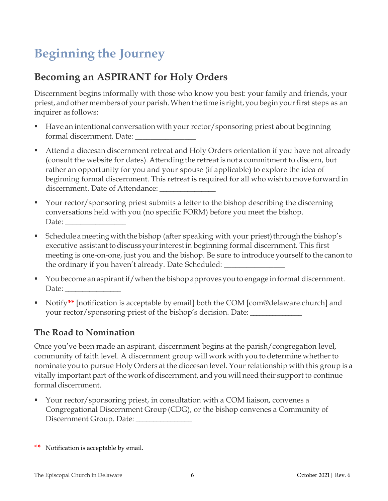# **Beginning the Journey**

# **Becoming an ASPIRANT for Holy Orders**

Discernment begins informally with those who know you best: your family and friends, your priest, and other members of your parish. When the time is right, you begin your first steps as an inquirer as follows:

- Have an intentional conversation with your rector/sponsoring priest about beginning formal discernment. Date:
- Attend a diocesan discernment retreat and Holy Orders orientation if you have not already (consult the website for dates). Attending the retreat is not a commitment to discern, but rather an opportunity for you and your spouse (if applicable) to explore the idea of beginning formal discernment. This retreat is required for all who wish to move forward in discernment. Date of Attendance: \_\_\_\_\_\_\_\_\_\_\_\_\_\_\_\_
- Your rector/sponsoring priest submits a letter to the bishop describing the discerning conversations held with you (no specific FORM) before you meet the bishop. Date:  $\overline{\phantom{a}}$
- Schedule a meeting with the bishop (after speaking with your priest) through the bishop's executive assistant to discuss your interest in beginning formal discernment. This first meeting is one-on-one, just you and the bishop. Be sure to introduce yourself to the canon to the ordinary if you haven't already. Date Scheduled: \_
- You become an aspirant if/when the bishop approves you to engage in formal discernment. Date:
- Notify**\*\*** [notification is acceptable by email] both the COM [com@delaware.church] and your rector/sponsoring priest of the bishop's decision. Date:

### **The Road to Nomination**

Once you've been made an aspirant, discernment begins at the parish/congregation level, community of faith level. A discernment group will work with you to determine whether to nominate you to pursue Holy Orders at the diocesan level. Yourrelationship with this group is a vitally important part of the work of discernment, and you will need their support to continue formal discernment.

 Your rector/sponsoring priest, in consultation with a COM liaison, convenes a Congregational Discernment Group(CDG), or the bishop convenes a Community of Discernment Group. Date:

**\*\*** Notification is acceptable by email.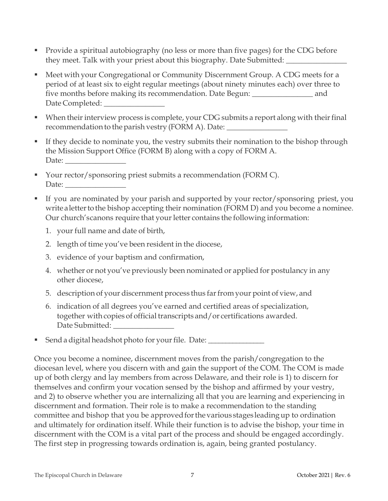- Provide a spiritual autobiography (no less or more than five pages) for the CDG before they meet. Talk with your priest about this biography. Date Submitted:
- Meet with your Congregational or Community Discernment Group. A CDG meets for a period of at least six to eight regular meetings (about ninety minutes each) over three to five months before making its recommendation. Date Begun: \_\_\_\_\_\_\_\_\_\_\_\_\_\_\_\_ and Date Completed: \_\_\_\_\_\_\_\_\_\_\_\_\_\_\_\_
- $\blacksquare$  When their interview process is complete, your CDG submits a report along with their final recommendation to the parish vestry (FORM A). Date: \_\_\_\_\_\_\_\_\_\_\_\_\_\_\_\_\_\_\_\_\_\_\_\_\_\_\_\_\_
- If they decide to nominate you, the vestry submits their nomination to the bishop through the Mission Support Office (FORM B) along with a copy of FORM A. Date:
- Your rector/sponsoring priest submits a recommendation (FORM C). Date:
- If you are nominated by your parish and supported by your rector/sponsoring priest, you write a letter to the bishop accepting their nomination (FORM D) and you become a nominee. Our church' scanons require that your letter contains the following information:
	- 1. your full name and date of birth,
	- 2. length of time you've been resident in the diocese,
	- 3. evidence of your baptism and confirmation,
	- 4. whether or not you've previously been nominated or applied for postulancy in any other diocese,
	- 5. description of your discernment process thus farfrom your point of view, and
	- 6. indication of all degrees you've earned and certified areas of specialization, together with copies of official transcripts and/or certifications awarded. Date Submitted:
- Send a digital headshot photo for your file. Date: \_\_\_\_\_\_\_\_\_\_\_\_\_\_\_\_\_\_\_\_\_\_\_\_\_\_\_\_

Once you become a nominee, discernment moves from the parish/congregation to the diocesan level, where you discern with and gain the support of the COM. The COM is made up of both clergy and lay members from across Delaware, and their role is 1) to discern for themselves and confirm your vocation sensed by the bishop and affirmed by your vestry, and 2) to observe whether you are internalizing all that you are learning and experiencing in discernment and formation. Their role is to make a recommendation to the standing committee and bishop that you be approved for the various stages leading up to ordination and ultimately for ordination itself. While their function is to advise the bishop, your time in discernment with the COM is a vital part of the process and should be engaged accordingly. The first step in progressing towards ordination is, again, being granted postulancy.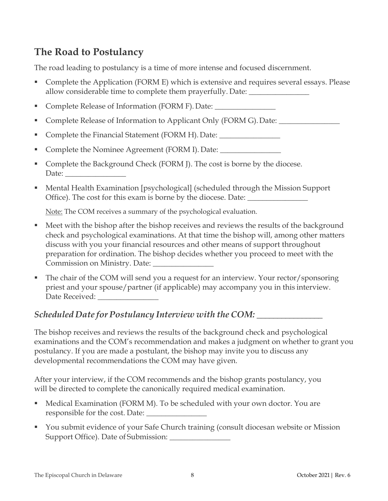# **The Road to Postulancy**

The road leading to postulancy is a time of more intense and focused discernment.

- Complete the Application (FORM E) which is extensive and requires several essays. Please allow considerable time to complete them prayerfully. Date: \_\_\_\_\_\_\_\_\_\_\_\_\_\_\_\_\_\_\_\_
- **Complete Release of Information (FORM F). Date:**
- Complete Release of Information to Applicant Only (FORM G). Date:
- Complete the Financial Statement (FORM H). Date: \_\_\_\_\_\_\_\_\_\_\_\_\_\_\_\_\_\_\_\_\_\_\_\_\_\_\_\_\_
- Complete the Nominee Agreement (FORM I). Date:
- Complete the Background Check (FORM J). The cost is borne by the diocese. Date:
- Mental Health Examination [psychological] (scheduled through the Mission Support Office). The cost for this exam is borne by the diocese. Date: \_\_\_\_\_\_\_\_\_\_\_\_\_\_\_\_\_

Note: The COM receives a summary of the psychological evaluation.

- Meet with the bishop after the bishop receives and reviews the results of the background check and psychological examinations. At that time the bishop will, among other matters discuss with you your financial resources and other means of support throughout preparation for ordination. The bishop decides whether you proceed to meet with the Commission on Ministry. Date: \_\_\_\_\_\_\_\_\_\_\_\_\_\_\_\_
- The chair of the COM will send you a request for an interview. Your rector/sponsoring priest and your spouse/partner (if applicable) may accompany you in this interview. Date Received: \_\_\_\_\_\_\_\_\_\_\_\_\_\_\_\_

# *Scheduled Date for Postulancy Interview with the COM:* \_\_\_\_\_\_\_\_\_\_\_\_\_\_\_\_

The bishop receives and reviews the results of the background check and psychological examinations and the COM's recommendation and makes a judgment on whether to grant you postulancy. If you are made a postulant, the bishop may invite you to discuss any developmental recommendations the COM may have given.

After your interview, if the COM recommends and the bishop grants postulancy, you will be directed to complete the canonically required medical examination.

- Medical Examination (FORM M). To be scheduled with your own doctor. You are responsible for the cost. Date:
- You submit evidence of your Safe Church training (consult diocesan website or Mission Support Office). Date of Submission: \_\_\_\_\_\_\_\_\_\_\_\_\_\_\_\_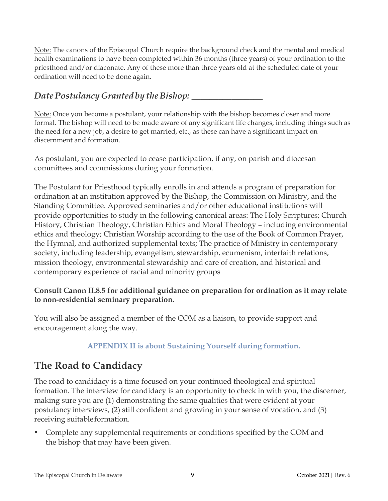Note: The canons of the Episcopal Church require the background check and the mental and medical health examinations to have been completed within 36 months (three years) of your ordination to the priesthood and/or diaconate. Any of these more than three years old at the scheduled date of your ordination will need to be done again.

# *DatePostulancyGranted by theBishop:* \_\_\_\_\_\_\_\_\_\_\_\_\_\_\_\_

Note: Once you become a postulant, your relationship with the bishop becomes closer and more formal. The bishop will need to be made aware of any significant life changes, including things such as the need for a new job, a desire to get married, etc., as these can have a significant impact on discernment and formation.

As postulant, you are expected to cease participation, if any, on parish and diocesan committees and commissions during your formation.

The Postulant for Priesthood typically enrolls in and attends a program of preparation for ordination at an institution approved by the Bishop, the Commission on Ministry, and the Standing Committee. Approved seminaries and/or other educational institutions will provide opportunities to study in the following canonical areas: The Holy Scriptures; Church History, Christian Theology, Christian Ethics and Moral Theology – including environmental ethics and theology; Christian Worship according to the use of the Book of Common Prayer, the Hymnal, and authorized supplemental texts; The practice of Ministry in contemporary society, including leadership, evangelism, stewardship, ecumenism, interfaith relations, mission theology, environmental stewardship and care of creation, and historical and contemporary experience of racial and minority groups

#### **Consult Canon II.8.5 for additional guidance on preparation for ordination as it may relate to non-residential seminary preparation.**

You will also be assigned a member of the COM as a liaison, to provide support and encouragement along the way.

### **APPENDIX II is about Sustaining Yourself during formation.**

# **The Road to Candidacy**

The road to candidacy is a time focused on your continued theological and spiritual formation. The interview for candidacy is an opportunity to check in with you, the discerner, making sure you are (1) demonstrating the same qualities that were evident at your postulancy interviews, (2) still confident and growing in your sense of vocation, and (3) receiving suitableformation.

 Complete any supplemental requirements or conditions specified by the COM and the bishop that may have been given.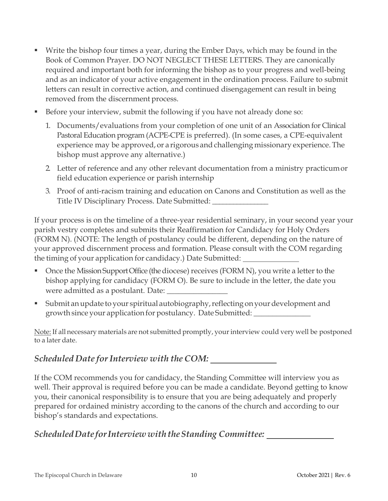- Write the bishop four times a year, during the Ember Days, which may be found in the Book of Common Prayer. DO NOT NEGLECT THESE LETTERS. They are canonically required and important both for informing the bishop as to your progress and well-being and as an indicator of your active engagement in the ordination process. Failure to submit letters can result in corrective action, and continued disengagement can result in being removed from the discernment process.
- Before your interview, submit the following if you have not already done so:
	- 1. Documents/evaluations from your completion of one unit of an Association for Clinical Pastoral Education program (ACPE-CPE is preferred). (In some cases, a CPE-equivalent experience may be approved, or a rigorous and challenging missionary experience. The bishop must approve any alternative.)
	- 2. Letter of reference and any other relevant documentation from a ministry practicumor field education experience or parish internship
	- 3. Proof of anti-racism training and education on Canons and Constitution as well as the Title IV Disciplinary Process. Date Submitted: \_\_\_\_\_\_\_\_\_\_\_\_\_\_\_\_

If your process is on the timeline of a three-year residential seminary, in your second year your parish vestry completes and submits their Reaffirmation for Candidacy for Holy Orders (FORM N). (NOTE: The length of postulancy could be different, depending on the nature of your approved discernment process and formation. Please consult with the COM regarding the timing of your application for candidacy.) Date Submitted:

- $\blacksquare$  Once the Mission Support Office (the diocese) receives (FORM N), you write a letter to the bishop applying for candidacy (FORM O). Be sure to include in the letter, the date you were admitted as a postulant. Date:
- Submit anupdate to your spiritual autobiography,reflecting onyourdevelopment and growth since your application for postulancy. Date Submitted: \_\_\_\_\_\_\_\_\_\_\_\_\_\_\_

Note: If all necessary materials are not submitted promptly, your interview could very well be postponed to a later date.

# *Scheduled Date forInterview with the COM:*

If the COM recommends you for candidacy, the Standing Committee will interview you as well. Their approval is required before you can be made a candidate. Beyond getting to know you, their canonical responsibility is to ensure that you are being adequately and properly prepared for ordained ministry according to the canons of the church and according to our bishop's standards and expectations.

### *ScheduledDate forInterview withtheStanding Committee:*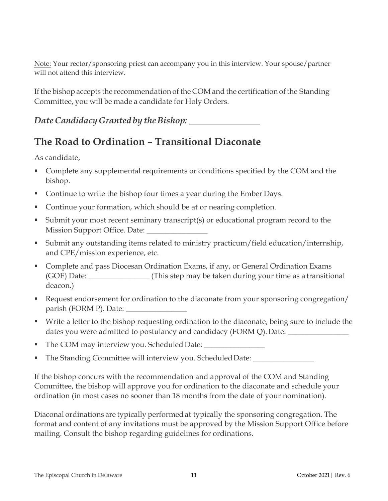Note: Your rector/sponsoring priest can accompany you in this interview. Your spouse/partner will not attend this interview.

If the bishop accepts the recommendation of the COM and the certification of the Standing Committee, you will be made a candidate for Holy Orders.

## *DateCandidacyGranted by theBishop:*

# **The Road to Ordination – Transitional Diaconate**

As candidate,

- **Complete any supplemental requirements or conditions specified by the COM and the** bishop.
- Continue to write the bishop four times a year during the Ember Days.
- Continue your formation, which should be at or nearing completion.
- Submit your most recent seminary transcript(s) or educational program record to the Mission Support Office. Date:
- Submit any outstanding items related to ministry practicum/field education/internship, and CPE/mission experience, etc.
- **Complete and pass Diocesan Ordination Exams, if any, or General Ordination Exams** (GOE) Date: \_\_\_\_\_\_\_\_\_\_\_\_\_\_\_\_ (This step may be taken during your time as a transitional deacon.)
- Request endorsement for ordination to the diaconate from your sponsoring congregation/ parish (FORM P). Date: \_\_\_\_\_\_\_\_\_\_\_\_\_\_\_\_
- Write a letter to the bishop requesting ordination to the diaconate, being sure to include the dates you were admitted to postulancy and candidacy (FORM Q). Date: \_\_\_\_\_\_\_\_\_\_\_\_
- The COM may interview you. Scheduled Date: \_\_\_\_\_\_\_\_\_\_\_\_\_\_\_\_
- The Standing Committee will interview you. Scheduled Date: \_\_\_\_\_\_\_\_\_\_\_\_\_\_\_\_\_\_\_\_\_

If the bishop concurs with the recommendation and approval of the COM and Standing Committee, the bishop will approve you for ordination to the diaconate and schedule your ordination (in most cases no sooner than 18 months from the date of your nomination).

Diaconal ordinations are typically performedat typically the sponsoring congregation. The format and content of any invitations must be approved by the Mission Support Office before mailing. Consult the bishop regarding guidelines for ordinations.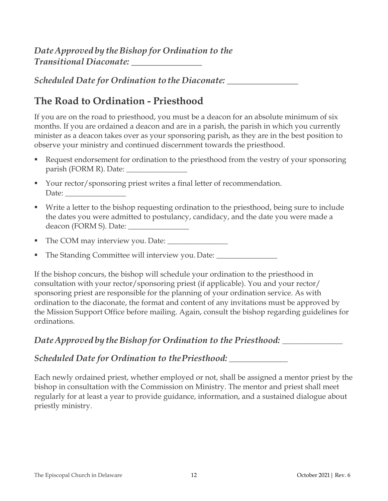*Scheduled Date for Ordination tothe Diaconate:* \_\_\_\_\_\_\_\_\_\_\_\_\_\_\_\_

# **The Road to Ordination - Priesthood**

If you are on the road to priesthood, you must be a deacon for an absolute minimum of six months. If you are ordained a deacon and are in a parish, the parish in which you currently minister as a deacon takes over as your sponsoring parish, as they are in the best position to observe your ministry and continued discernment towards the priesthood.

- Request endorsement for ordination to the priesthood from the vestry of your sponsoring parish (FORM R). Date:
- Your rector/sponsoring priest writes a final letter of recommendation. Date:
- Write a letter to the bishop requesting ordination to the priesthood, being sure to include the dates you were admitted to postulancy, candidacy, and the date you were made a deacon (FORM S). Date: \_\_\_\_\_\_\_\_\_\_\_\_\_\_\_\_
- The COM may interview you. Date: \_\_\_\_\_\_\_\_\_\_\_\_\_\_\_\_
- The Standing Committee will interview you. Date: \_\_\_\_\_\_\_\_\_\_\_\_\_\_\_\_\_\_\_\_\_\_\_\_\_\_\_\_\_\_\_

If the bishop concurs, the bishop will schedule your ordination to the priesthood in consultation with your rector/sponsoring priest (if applicable). You and your rector/ sponsoring priest are responsible for the planning of your ordination service. As with ordination to the diaconate, the format and content of any invitations must be approved by the Mission Support Office before mailing. Again, consult the bishop regarding guidelines for ordinations.

# *Date Approved* by the Bishop for Ordination to the Priesthood: \_\_\_\_\_\_\_\_\_\_\_\_\_\_

*Scheduled Date for Ordination to thePriesthood:* **\_\_\_\_\_\_\_\_\_\_\_\_\_\_\_\_**

Each newly ordained priest, whether employed or not, shall be assigned a mentor priest by the bishop in consultation with the Commission on Ministry. The mentor and priest shall meet regularly for at least a year to provide guidance, information, and a sustained dialogue about priestly ministry.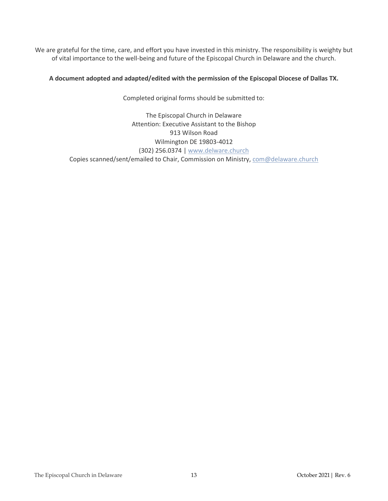We are grateful for the time, care, and effort you have invested in this ministry. The responsibility is weighty but of vital importance to the well-being and future of the Episcopal Church in Delaware and the church.

#### **A document adopted and adapted/edited with the permission of the Episcopal Diocese of Dallas TX.**

Completed original forms should be submitted to:

#### The Episcopal Church in Delaware Attention: Executive Assistant to the Bishop 913 Wilson Road Wilmington DE 19803-4012 (302) 256.0374 | [www.delware.church](http://www.delware.church/) Copies scanned/sent/emailed to Chair, Commission on Ministry[, com@delaware.church](mailto:com@delaware.church)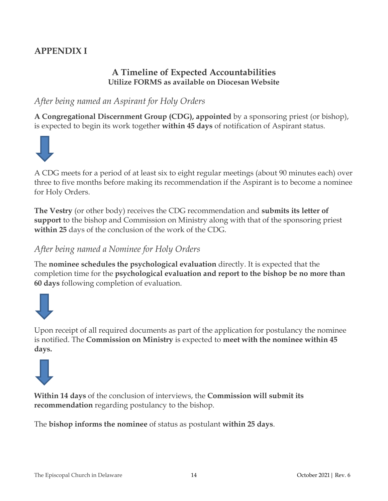# **APPENDIX I**

### **A Timeline of Expected Accountabilities Utilize FORMS as available on Diocesan Website**

### *After being named an Aspirant for Holy Orders*

**A Congregational Discernment Group (CDG), appointed** by a sponsoring priest (or bishop), is expected to begin its work together **within 45 days** of notification of Aspirant status.



A CDG meets for a period of at least six to eight regular meetings (about 90 minutes each) over three to five months before making its recommendation if the Aspirant is to become a nominee for Holy Orders.

**The Vestry** (or other body) receives the CDG recommendation and **submits its letter of support** to the bishop and Commission on Ministry along with that of the sponsoring priest **within 25** days of the conclusion of the work of the CDG.

### *After being named a Nominee for Holy Orders*

The **nominee schedules the psychological evaluation** directly. It is expected that the completion time for the **psychological evaluation and report to the bishop be no more than 60 days** following completion of evaluation.



Upon receipt of all required documents as part of the application for postulancy the nominee is notified. The **Commission on Ministry** is expected to **meet with the nominee within 45 days.**



**Within 14 days** of the conclusion of interviews, the **Commission will submit its recommendation** regarding postulancy to the bishop.

The **bishop informs the nominee** of status as postulant **within 25 days**.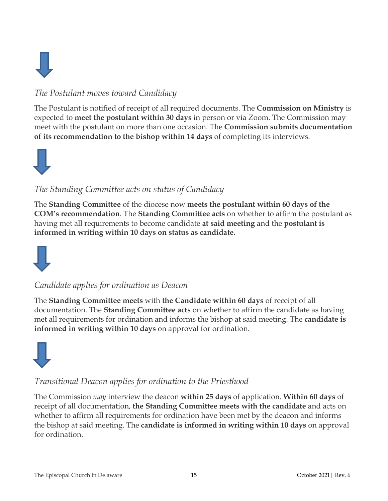

# *The Postulant moves toward Candidacy*

The Postulant is notified of receipt of all required documents. The **Commission on Ministry** is expected to **meet the postulant within 30 days** in person or via Zoom. The Commission may meet with the postulant on more than one occasion. The **Commission submits documentation of its recommendation to the bishop within 14 days** of completing its interviews.



## *The Standing Committee acts on status of Candidacy*

The **Standing Committee** of the diocese now **meets the postulant within 60 days of the COM's recommendation**. The **Standing Committee acts** on whether to affirm the postulant as having met all requirements to become candidate **at said meeting** and the **postulant is informed in writing within 10 days on status as candidate.**



### *Candidate applies for ordination as Deacon*

The **Standing Committee meets** with **the Candidate within 60 days** of receipt of all documentation. The **Standing Committee acts** on whether to affirm the candidate as having met all requirements for ordination and informs the bishop at said meeting. The **candidate is informed in writing within 10 days** on approval for ordination.



# *Transitional Deacon applies for ordination to the Priesthood*

The Commission *may* interview the deacon **within 25 days** of application. **Within 60 days** of receipt of all documentation, **the Standing Committee meets with the candidate** and acts on whether to affirm all requirements for ordination have been met by the deacon and informs the bishop at said meeting. The **candidate is informed in writing within 10 days** on approval for ordination.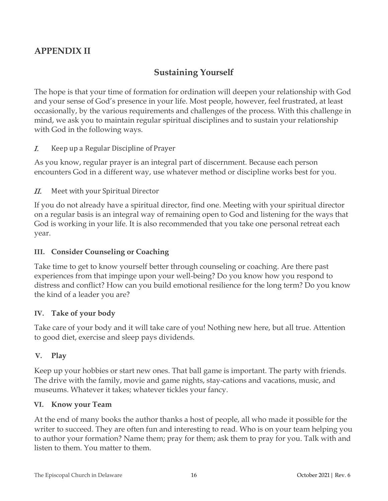# **APPENDIX II**

## **Sustaining Yourself**

The hope is that your time of formation for ordination will deepen your relationship with God and your sense of God's presence in your life. Most people, however, feel frustrated, at least occasionally, by the various requirements and challenges of the process. With this challenge in mind, we ask you to maintain regular spiritual disciplines and to sustain your relationship with God in the following ways.

#### I. Keep up a Regular Discipline of Prayer

As you know, regular prayer is an integral part of discernment. Because each person encounters God in a different way, use whatever method or discipline works best for you.

II. Meet with your Spiritual Director

If you do not already have a spiritual director, find one. Meeting with your spiritual director on a regular basis is an integral way of remaining open to God and listening for the ways that God is working in your life. It is also recommended that you take one personal retreat each year.

#### **III. Consider Counseling or Coaching**

Take time to get to know yourself better through counseling or coaching. Are there past experiences from that impinge upon your well-being? Do you know how you respond to distress and conflict? How can you build emotional resilience for the long term? Do you know the kind of a leader you are?

#### **IV. Take of your body**

Take care of your body and it will take care of you! Nothing new here, but all true. Attention to good diet, exercise and sleep pays dividends.

#### **V. Play**

Keep up your hobbies or start new ones. That ball game is important. The party with friends. The drive with the family, movie and game nights, stay-cations and vacations, music, and museums. Whatever it takes; whatever tickles your fancy.

#### **VI. Know your Team**

At the end of many books the author thanks a host of people, all who made it possible for the writer to succeed. They are often fun and interesting to read. Who is on your team helping you to author your formation? Name them; pray for them; ask them to pray for you. Talk with and listen to them. You matter to them.